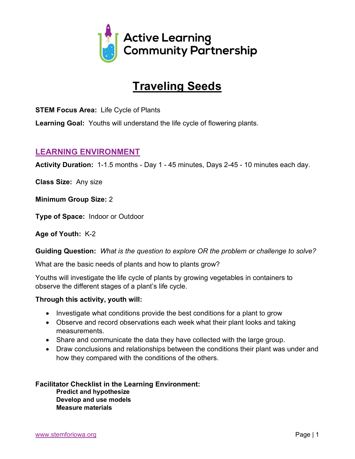

# **Traveling Seeds**

**STEM Focus Area:** Life Cycle of Plants

**Learning Goal:** Youths will understand the life cycle of flowering plants.

## **LEARNING ENVIRONMENT**

**Activity Duration:** 1-1.5 months - Day 1 - 45 minutes, Days 2-45 - 10 minutes each day.

**Class Size:** Any size

**Minimum Group Size:** 2

**Type of Space:** Indoor or Outdoor

**Age of Youth:** K-2

**Guiding Question:** *What is the question to explore OR the problem or challenge to solve?*

What are the basic needs of plants and how to plants grow?

Youths will investigate the life cycle of plants by growing vegetables in containers to observe the different stages of a plant's life cycle.

### **Through this activity, youth will:**

- Investigate what conditions provide the best conditions for a plant to grow
- Observe and record observations each week what their plant looks and taking measurements.
- Share and communicate the data they have collected with the large group.
- Draw conclusions and relationships between the conditions their plant was under and how they compared with the conditions of the others.

**Facilitator Checklist in the Learning Environment: Predict and hypothesize Develop and use models Measure materials**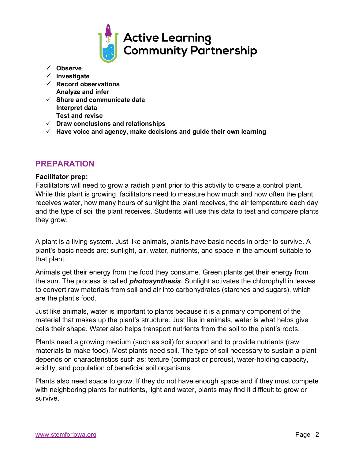

- ü **Observe**
- ü **Investigate**
- ü **Record observations Analyze and infer**
- ü **Share and communicate data Interpret data Test and revise**
- ü **Draw conclusions and relationships**
- $\checkmark$  Have voice and agency, make decisions and guide their own learning

## **PREPARATION**

#### **Facilitator prep:**

Facilitators will need to grow a radish plant prior to this activity to create a control plant. While this plant is growing, facilitators need to measure how much and how often the plant receives water, how many hours of sunlight the plant receives, the air temperature each day and the type of soil the plant receives. Students will use this data to test and compare plants they grow.

A plant is a living system. Just like animals, plants have basic needs in order to survive. A plant's basic needs are: sunlight, air, water, nutrients, and space in the amount suitable to that plant.

Animals get their energy from the food they consume. Green plants get their energy from the sun. The process is called *photosynthesis*. Sunlight activates the chlorophyll in leaves to convert raw materials from soil and air into carbohydrates (starches and sugars), which are the plant's food.

Just like animals, water is important to plants because it is a primary component of the material that makes up the plant's structure. Just like in animals, water is what helps give cells their shape. Water also helps transport nutrients from the soil to the plant's roots.

Plants need a growing medium (such as soil) for support and to provide nutrients (raw materials to make food). Most plants need soil. The type of soil necessary to sustain a plant depends on characteristics such as: texture (compact or porous), water-holding capacity, acidity, and population of beneficial soil organisms.

Plants also need space to grow. If they do not have enough space and if they must compete with neighboring plants for nutrients, light and water, plants may find it difficult to grow or survive.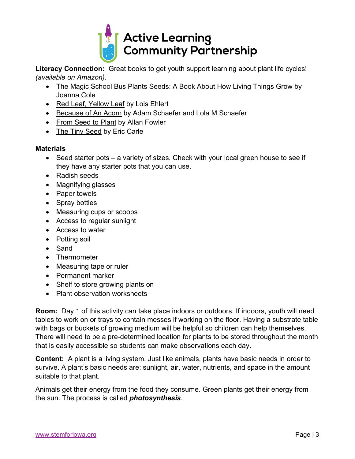

**Literacy Connection:** Great books to get youth support learning about plant life cycles! *(available on Amazon).*

- The Magic School Bus Plants Seeds: A Book About How Living Things Grow by Joanna Cole
- Red Leaf, Yellow Leaf by Lois Ehlert
- Because of An Acorn by Adam Schaefer and Lola M Schaefer
- From Seed to Plant by Allan Fowler
- The Tiny Seed by Eric Carle

## **Materials**

- Seed starter pots a variety of sizes. Check with your local green house to see if they have any starter pots that you can use.
- Radish seeds
- Magnifying glasses
- Paper towels
- Spray bottles
- Measuring cups or scoops
- Access to regular sunlight
- Access to water
- Potting soil
- Sand
- Thermometer
- Measuring tape or ruler
- Permanent marker
- Shelf to store growing plants on
- Plant observation worksheets

**Room:** Day 1 of this activity can take place indoors or outdoors. If indoors, youth will need tables to work on or trays to contain messes if working on the floor. Having a substrate table with bags or buckets of growing medium will be helpful so children can help themselves. There will need to be a pre-determined location for plants to be stored throughout the month that is easily accessible so students can make observations each day.

**Content:** A plant is a living system. Just like animals, plants have basic needs in order to survive. A plant's basic needs are: sunlight, air, water, nutrients, and space in the amount suitable to that plant.

Animals get their energy from the food they consume. Green plants get their energy from the sun. The process is called *photosynthesis*.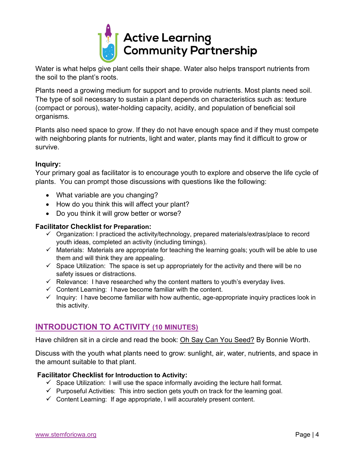

Water is what helps give plant cells their shape. Water also helps transport nutrients from the soil to the plant's roots.

Plants need a growing medium for support and to provide nutrients. Most plants need soil. The type of soil necessary to sustain a plant depends on characteristics such as: texture (compact or porous), water-holding capacity, acidity, and population of beneficial soil organisms.

Plants also need space to grow. If they do not have enough space and if they must compete with neighboring plants for nutrients, light and water, plants may find it difficult to grow or survive.

## **Inquiry:**

Your primary goal as facilitator is to encourage youth to explore and observe the life cycle of plants. You can prompt those discussions with questions like the following:

- What variable are you changing?
- How do you think this will affect your plant?
- Do you think it will grow better or worse?

## **Facilitator Checklist for Preparation:**

- $\checkmark$  Organization: I practiced the activity/technology, prepared materials/extras/place to record youth ideas, completed an activity (including timings).
- $\checkmark$  Materials: Materials are appropriate for teaching the learning goals; youth will be able to use them and will think they are appealing.
- $\checkmark$  Space Utilization: The space is set up appropriately for the activity and there will be no safety issues or distractions.
- $\checkmark$  Relevance: I have researched why the content matters to youth's everyday lives.
- $\checkmark$  Content Learning: I have become familiar with the content.
- $\checkmark$  Inquiry: I have become familiar with how authentic, age-appropriate inquiry practices look in this activity.

## **INTRODUCTION TO ACTIVITY (10 MINUTES)**

Have children sit in a circle and read the book: Oh Say Can You Seed? By Bonnie Worth.

Discuss with the youth what plants need to grow: sunlight, air, water, nutrients, and space in the amount suitable to that plant.

### **Facilitator Checklist for Introduction to Activity:**

- $\checkmark$  Space Utilization: I will use the space informally avoiding the lecture hall format.
- $\checkmark$  Purposeful Activities: This intro section gets youth on track for the learning goal.
- $\checkmark$  Content Learning: If age appropriate, I will accurately present content.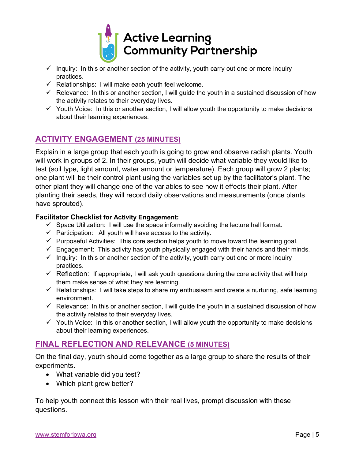

- $\checkmark$  Inquiry: In this or another section of the activity, youth carry out one or more inquiry practices.
- $\checkmark$  Relationships: I will make each youth feel welcome.
- $\checkmark$  Relevance: In this or another section, I will guide the youth in a sustained discussion of how the activity relates to their everyday lives.
- $\checkmark$  Youth Voice: In this or another section, I will allow youth the opportunity to make decisions about their learning experiences.

## **ACTIVITY ENGAGEMENT (25 MINUTES)**

Explain in a large group that each youth is going to grow and observe radish plants. Youth will work in groups of 2. In their groups, youth will decide what variable they would like to test (soil type, light amount, water amount or temperature). Each group will grow 2 plants; one plant will be their control plant using the variables set up by the facilitator's plant. The other plant they will change one of the variables to see how it effects their plant. After planting their seeds, they will record daily observations and measurements (once plants have sprouted).

### **Facilitator Checklist for Activity Engagement:**

- $\checkmark$  Space Utilization: I will use the space informally avoiding the lecture hall format.
- $\checkmark$  Participation: All youth will have access to the activity.
- $\checkmark$  Purposeful Activities: This core section helps youth to move toward the learning goal.
- $\checkmark$  Engagement: This activity has youth physically engaged with their hands and their minds.
- $\checkmark$  Inquiry: In this or another section of the activity, youth carry out one or more inquiry practices.
- $\checkmark$  Reflection: If appropriate, I will ask youth questions during the core activity that will help them make sense of what they are learning.
- $\checkmark$  Relationships: I will take steps to share my enthusiasm and create a nurturing, safe learning environment.
- $\checkmark$  Relevance: In this or another section, I will guide the youth in a sustained discussion of how the activity relates to their everyday lives.
- $\checkmark$  Youth Voice: In this or another section, I will allow youth the opportunity to make decisions about their learning experiences.

# **FINAL REFLECTION AND RELEVANCE (5 MINUTES)**

On the final day, youth should come together as a large group to share the results of their experiments.

- What variable did you test?
- Which plant grew better?

To help youth connect this lesson with their real lives, prompt discussion with these questions.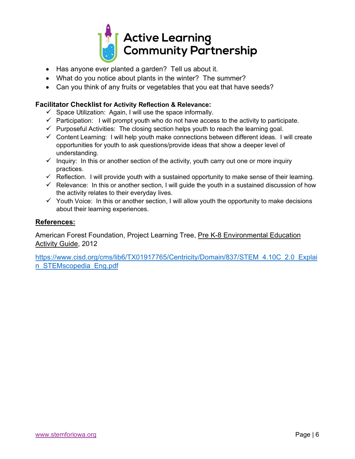

- Has anyone ever planted a garden? Tell us about it.
- What do you notice about plants in the winter? The summer?
- Can you think of any fruits or vegetables that you eat that have seeds?

## **Facilitator Checklist for Activity Reflection & Relevance:**

- $\checkmark$  Space Utilization: Again, I will use the space informally.
- $\checkmark$  Participation: I will prompt youth who do not have access to the activity to participate.
- $\checkmark$  Purposeful Activities: The closing section helps youth to reach the learning goal.
- $\checkmark$  Content Learning: I will help youth make connections between different ideas. I will create opportunities for youth to ask questions/provide ideas that show a deeper level of understanding.
- $\checkmark$  Inquiry: In this or another section of the activity, youth carry out one or more inquiry practices.
- $\checkmark$  Reflection. I will provide youth with a sustained opportunity to make sense of their learning.
- $\checkmark$  Relevance: In this or another section, I will guide the youth in a sustained discussion of how the activity relates to their everyday lives.
- $\checkmark$  Youth Voice: In this or another section, I will allow youth the opportunity to make decisions about their learning experiences.

## **References:**

American Forest Foundation, Project Learning Tree, Pre K-8 Environmental Education Activity Guide, 2012

https://www.cisd.org/cms/lib6/TX01917765/Centricity/Domain/837/STEM\_4.10C\_2.0\_Explai n\_STEMscopedia\_Eng.pdf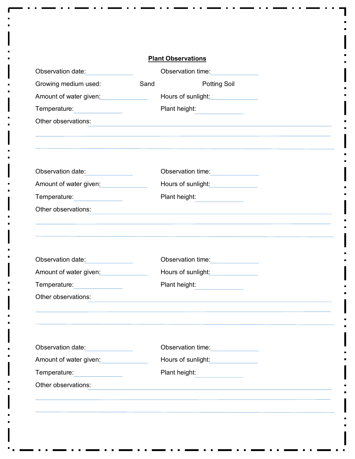|                                                 |      | <b>Plant Observations</b>             |  |
|-------------------------------------------------|------|---------------------------------------|--|
| Observation date:                               |      | Observation time:                     |  |
| Growing medium used:                            | Sand | <b>Potting Soil</b>                   |  |
| Amount of water given:                          |      | Hours of sunlight:                    |  |
| Temperature:<br><u>and the state of the sta</u> |      | Plant height:                         |  |
| Other observations:                             |      |                                       |  |
| Observation date:                               |      | Observation time:                     |  |
| Amount of water given:                          |      | Hours of sunlight:                    |  |
| Temperature:                                    |      | Plant height:                         |  |
| Other observations:                             |      |                                       |  |
|                                                 |      |                                       |  |
| Observation date:                               |      | Observation time:                     |  |
| Amount of water given:                          |      | Hours of sunlight: Nours of sunlight: |  |
| Temperature:                                    |      | Plant height:                         |  |
| Other observations:                             |      |                                       |  |
| Observation date:                               |      | Observation time:                     |  |
| Amount of water given:                          |      | Hours of sunlight:                    |  |
| Temperature:                                    |      | Plant height:                         |  |
| Other observations:                             |      |                                       |  |